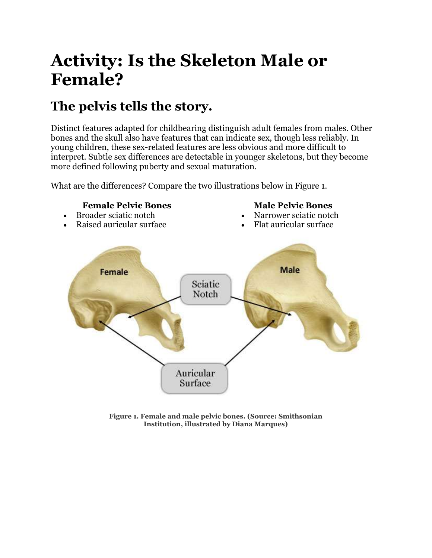# **Activity: Is the Skeleton Male or Female?**

## **The pelvis tells the story.**

Distinct features adapted for childbearing distinguish adult females from males. Other bones and the skull also have features that can indicate sex, though less reliably. In young children, these sex-related features are less obvious and more difficult to interpret. Subtle sex differences are detectable in younger skeletons, but they become more defined following puberty and sexual maturation.

What are the differences? Compare the two illustrations below in Figure 1.

### **Female Pelvic Bones**

 Broader sciatic notch Raised auricular surface

#### **Male Pelvic Bones**

- Narrower sciatic notch
- Flat auricular surface



**Figure 1. Female and male pelvic bones. (Source: Smithsonian Institution, illustrated by Diana Marques)**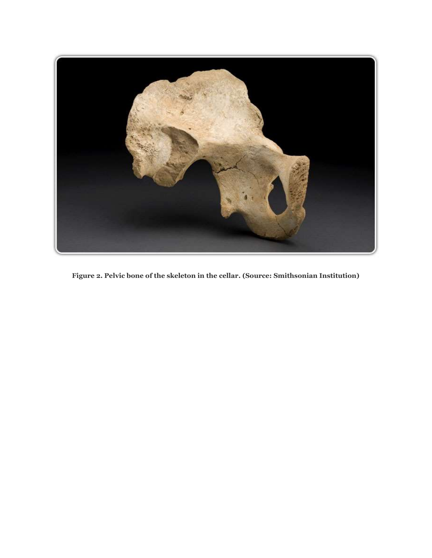

**Figure 2. Pelvic bone of the skeleton in the cellar. (Source: Smithsonian Institution)**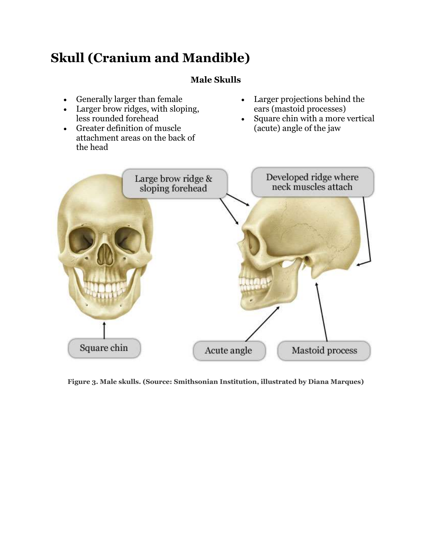## **Skull (Cranium and Mandible)**

## **Male Skulls**

- Generally larger than female
- Larger brow ridges, with sloping, less rounded forehead
- Greater definition of muscle attachment areas on the back of the head
- Larger projections behind the ears (mastoid processes)
- Square chin with a more vertical (acute) angle of the jaw



**Figure 3. Male skulls. (Source: Smithsonian Institution, illustrated by Diana Marques)**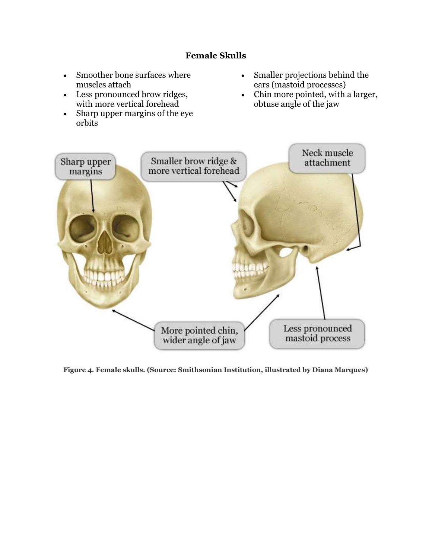## **Female Skulls**

- Smoother bone surfaces where muscles attach
- Less pronounced brow ridges, with more vertical forehead
- Sharp upper margins of the eye orbits
- Smaller projections behind the ears (mastoid processes)
- Chin more pointed, with a larger, obtuse angle of the jaw



**Figure 4. Female skulls. (Source: Smithsonian Institution, illustrated by Diana Marques)**